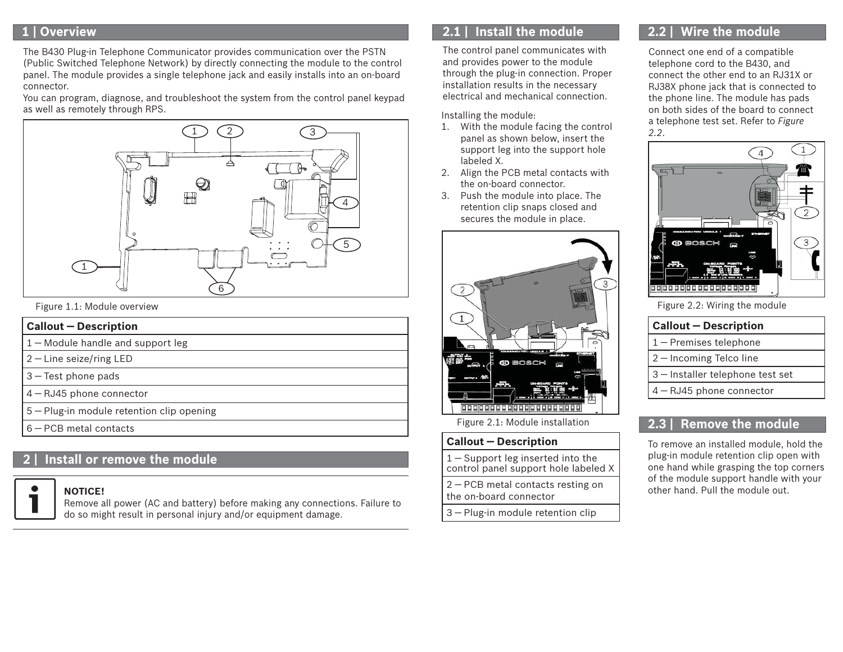# **1 | Overview**

The B430 Plug-in Telephone Communicator provides communication over the PSTN (Public Switched Telephone Network) by directly connecting the module to the control panel. The module provides a single telephone jack and easily installs into an on-board connector.

You can program, diagnose, and troubleshoot the system from the control panel keypad as well as remotely through RPS.



Figure 1.1: Module overview

### **Callout ― Description**

- 1 ― Module handle and support leg
- 2 ― Line seize/ring LED
- 3 ― Test phone pads
- 4 ― RJ45 phone connector
- 5 ― Plug-in module retention clip opening
- 6 ― PCB metal contacts

# **2 | Install or remove the module**

#### **NOTICE!**

Remove all power (AC and battery) before making any connections. Failure to do so might result in personal injury and/or equipment damage.

# **2.1 | Install the module**

The control panel communicates with and provides power to the module through the plug-in connection. Proper installation results in the necessary electrical and mechanical connection.

Installing the module:

- 1. With the module facing the control panel as shown below, insert the support leg into the support hole labeled X.
- 2. Align the PCB metal contacts with the on-board connector.
- 3. Push the module into place. The retention clip snaps closed and secures the module in place.



Figure 2.1: Module installation

## **Callout ― Description**

1 ― Support leg inserted into the control panel support hole labeled X

2 ― PCB metal contacts resting on the on-board connector

3 ― Plug-in module retention clip

# **2.2 | Wire the module**

Connect one end of a compatible telephone cord to the B430, and connect the other end to an RJ31X or RJ38X phone jack that is connected to the phone line. The module has pads on both sides of the board to connect a telephone test set. Refer to *Figure 2.2*.



Figure 2.2: Wiring the module

## **Callout ― Description**

- 1 ― Premises telephone
- 2 ― Incoming Telco line
- 3 ― Installer telephone test set
- 4 ― RJ45 phone connector

# **2.3 | Remove the module**

To remove an installed module, hold the plug-in module retention clip open with one hand while grasping the top corners of the module support handle with your other hand. Pull the module out.